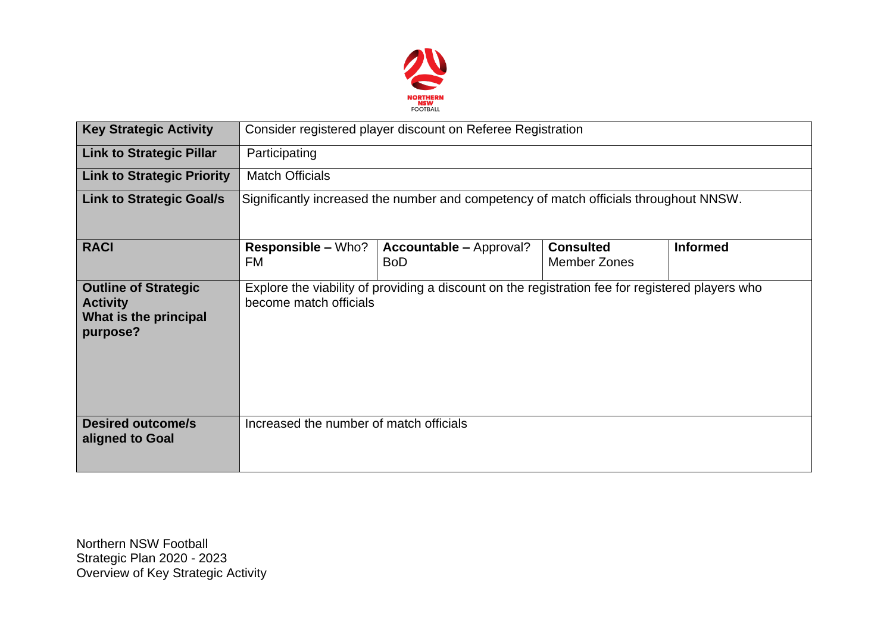

| <b>Key Strategic Activity</b>                                                       | Consider registered player discount on Referee Registration                                                                |                                              |                                         |                 |  |  |  |  |
|-------------------------------------------------------------------------------------|----------------------------------------------------------------------------------------------------------------------------|----------------------------------------------|-----------------------------------------|-----------------|--|--|--|--|
| <b>Link to Strategic Pillar</b>                                                     | Participating                                                                                                              |                                              |                                         |                 |  |  |  |  |
| <b>Link to Strategic Priority</b>                                                   | <b>Match Officials</b>                                                                                                     |                                              |                                         |                 |  |  |  |  |
| <b>Link to Strategic Goal/s</b>                                                     | Significantly increased the number and competency of match officials throughout NNSW.                                      |                                              |                                         |                 |  |  |  |  |
| <b>RACI</b>                                                                         | <b>Responsible – Who?</b><br><b>FM</b>                                                                                     | <b>Accountable – Approval?</b><br><b>BoD</b> | <b>Consulted</b><br><b>Member Zones</b> | <b>Informed</b> |  |  |  |  |
| <b>Outline of Strategic</b><br><b>Activity</b><br>What is the principal<br>purpose? | Explore the viability of providing a discount on the registration fee for registered players who<br>become match officials |                                              |                                         |                 |  |  |  |  |
| <b>Desired outcome/s</b><br>aligned to Goal                                         | Increased the number of match officials                                                                                    |                                              |                                         |                 |  |  |  |  |

Northern NSW Football Strategic Plan 2020 - 2023 Overview of Key Strategic Activity